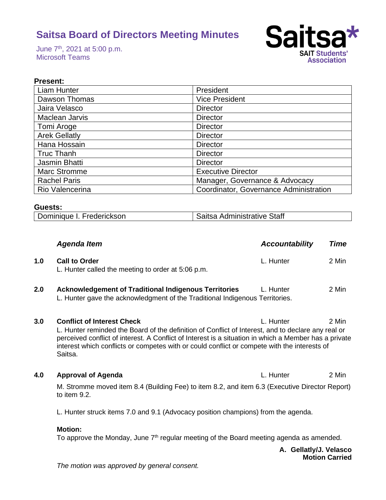June 7th, 2021 at 5:00 p.m. Microsoft Teams



# **Present:**

| <b>Liam Hunter</b>   | President                              |
|----------------------|----------------------------------------|
| Dawson Thomas        | <b>Vice President</b>                  |
| Jaira Velasco        | <b>Director</b>                        |
| Maclean Jarvis       | <b>Director</b>                        |
| Tomi Aroge           | <b>Director</b>                        |
| <b>Arek Gellatly</b> | <b>Director</b>                        |
| Hana Hossain         | <b>Director</b>                        |
| <b>Truc Thanh</b>    | <b>Director</b>                        |
| Jasmin Bhatti        | <b>Director</b>                        |
| <b>Marc Stromme</b>  | <b>Executive Director</b>              |
| <b>Rachel Paris</b>  | Manager, Governance & Advocacy         |
| Rio Valencerina      | Coordinator, Governance Administration |

#### **Guests:**

| Dominique I. Frederickson<br>Saitsa Administrative Staff |
|----------------------------------------------------------|
|----------------------------------------------------------|

|     | <b>Agenda Item</b>                                                                                                                                                                                                                                                                                                                                          | <b>Accountability</b> | <b>Time</b> |
|-----|-------------------------------------------------------------------------------------------------------------------------------------------------------------------------------------------------------------------------------------------------------------------------------------------------------------------------------------------------------------|-----------------------|-------------|
| 1.0 | <b>Call to Order</b><br>L. Hunter called the meeting to order at 5:06 p.m.                                                                                                                                                                                                                                                                                  | L. Hunter             | 2 Min       |
| 2.0 | <b>Acknowledgement of Traditional Indigenous Territories</b><br>L. Hunter gave the acknowledgment of the Traditional Indigenous Territories.                                                                                                                                                                                                                | L. Hunter             | 2 Min       |
| 3.0 | <b>Conflict of Interest Check</b><br>L. Hunter reminded the Board of the definition of Conflict of Interest, and to declare any real or<br>perceived conflict of interest. A Conflict of Interest is a situation in which a Member has a private<br>interest which conflicts or competes with or could conflict or compete with the interests of<br>Saitsa. | L. Hunter             | 2 Min       |
| 4.0 | <b>Approval of Agenda</b>                                                                                                                                                                                                                                                                                                                                   | L. Hunter             | 2 Min       |
|     | M. Stromme moved item 8.4 (Building Fee) to item 8.2, and item 6.3 (Executive Director Report)<br>to item 9.2.                                                                                                                                                                                                                                              |                       |             |
|     | L. Hunter struck items 7.0 and 9.1 (Advocacy position champions) from the agenda.                                                                                                                                                                                                                                                                           |                       |             |

#### **Motion:**

To approve the Monday, June  $7<sup>th</sup>$  regular meeting of the Board meeting agenda as amended.

**A. Gellatly/J. Velasco Motion Carried**

*The motion was approved by general consent.*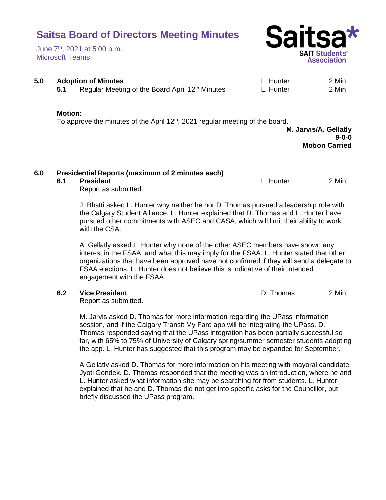#### June 7th, 2021 at 5:00 p.m. Microsoft Teams



# **5.0 Adoption of Minutes** L. Hunter 2 Min

**5.1** Regular Meeting of the Board April 12<sup>th</sup> Minutes **L. Hunter** 2 Min

#### **Motion:**

To approve the minutes of the April  $12<sup>th</sup>$ , 2021 regular meeting of the board.

**M. Jarvis/A. Gellatly 9-0-0 Motion Carried**

# **6.0 Presidential Reports (maximum of 2 minutes each)**

#### **6.1 President** L. Hunter 2 Min

Report as submitted.

J. Bhatti asked L. Hunter why neither he nor D. Thomas pursued a leadership role with the Calgary Student Alliance. L. Hunter explained that D. Thomas and L. Hunter have pursued other commitments with ASEC and CASA, which will limit their ability to work with the CSA.

A. Gellatly asked L. Hunter why none of the other ASEC members have shown any interest in the FSAA, and what this may imply for the FSAA. L. Hunter stated that other organizations that have been approved have not confirmed if they will send a delegate to FSAA elections. L. Hunter does not believe this is indicative of their intended engagement with the FSAA.

### **6.2 Vice President** D. Thomas 2 Min

Report as submitted.

M. Jarvis asked D. Thomas for more information regarding the UPass information session, and if the Calgary Transit My Fare app will be integrating the UPass. D. Thomas responded saying that the UPass integration has been partially successful so far, with 65% to 75% of University of Calgary spring/summer semester students adopting the app. L. Hunter has suggested that this program may be expanded for September.

A Gellatly asked D. Thomas for more information on his meeting with mayoral candidate Jyoti Gondek. D. Thomas responded that the meeting was an introduction, where he and L. Hunter asked what information she may be searching for from students. L. Hunter explained that he and D. Thomas did not get into specific asks for the Councillor, but briefly discussed the UPass program.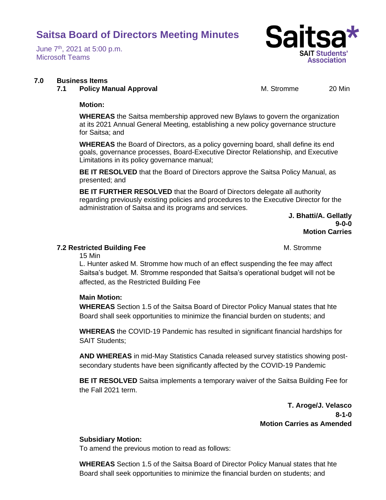June 7th, 2021 at 5:00 p.m. Microsoft Teams

#### **7.0 Business Items**

#### **7.1 Policy Manual Approval M. Stromme 20 Min**

Sal

**SAIT Students'** Association

#### **Motion:**

**WHEREAS** the Saitsa membership approved new Bylaws to govern the organization at its 2021 Annual General Meeting, establishing a new policy governance structure for Saitsa; and

**WHEREAS** the Board of Directors, as a policy governing board, shall define its end goals, governance processes, Board-Executive Director Relationship, and Executive Limitations in its policy governance manual;

**BE IT RESOLVED** that the Board of Directors approve the Saitsa Policy Manual, as presented; and

**BE IT FURTHER RESOLVED** that the Board of Directors delegate all authority regarding previously existing policies and procedures to the Executive Director for the administration of Saitsa and its programs and services.

> **J. Bhatti/A. Gellatly 9-0-0 Motion Carries**

#### **7.2 Restricted Building Fee** M. Stromme

15 Min

L. Hunter asked M. Stromme how much of an effect suspending the fee may affect Saitsa's budget. M. Stromme responded that Saitsa's operational budget will not be affected, as the Restricted Building Fee

### **Main Motion:**

**WHEREAS** Section 1.5 of the Saitsa Board of Director Policy Manual states that hte Board shall seek opportunities to minimize the financial burden on students; and

**WHEREAS** the COVID-19 Pandemic has resulted in significant financial hardships for SAIT Students;

**AND WHEREAS** in mid-May Statistics Canada released survey statistics showing postsecondary students have been significantly affected by the COVID-19 Pandemic

**BE IT RESOLVED** Saitsa implements a temporary waiver of the Saitsa Building Fee for the Fall 2021 term.

> **T. Aroge/J. Velasco 8-1-0 Motion Carries as Amended**

### **Subsidiary Motion:**

To amend the previous motion to read as follows:

**WHEREAS** Section 1.5 of the Saitsa Board of Director Policy Manual states that hte Board shall seek opportunities to minimize the financial burden on students; and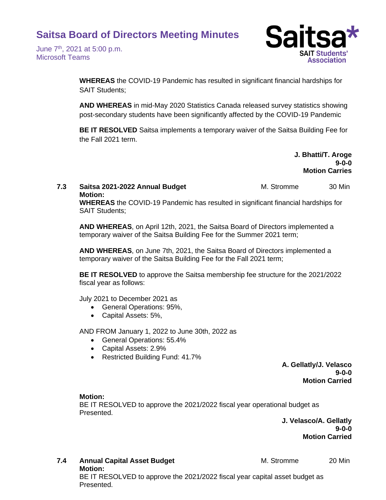June 7th, 2021 at 5:00 p.m. Microsoft Teams



**WHEREAS** the COVID-19 Pandemic has resulted in significant financial hardships for SAIT Students;

**AND WHEREAS** in mid-May 2020 Statistics Canada released survey statistics showing post-secondary students have been significantly affected by the COVID-19 Pandemic

**BE IT RESOLVED** Saitsa implements a temporary waiver of the Saitsa Building Fee for the Fall 2021 term.

> **J. Bhatti/T. Aroge 9-0-0 Motion Carries**

#### **7.3 Saitsa 2021-2022 Annual Budget** M. Stromme 30 Min **Motion:**

**WHEREAS** the COVID-19 Pandemic has resulted in significant financial hardships for SAIT Students;

**AND WHEREAS**, on April 12th, 2021, the Saitsa Board of Directors implemented a temporary waiver of the Saitsa Building Fee for the Summer 2021 term;

**AND WHEREAS**, on June 7th, 2021, the Saitsa Board of Directors implemented a temporary waiver of the Saitsa Building Fee for the Fall 2021 term;

**BE IT RESOLVED** to approve the Saitsa membership fee structure for the 2021/2022 fiscal year as follows:

July 2021 to December 2021 as

- General Operations: 95%,
- Capital Assets: 5%,

AND FROM January 1, 2022 to June 30th, 2022 as

- General Operations: 55.4%
- Capital Assets: 2.9%
- Restricted Building Fund: 41.7%

**A. Gellatly/J. Velasco 9-0-0 Motion Carried**

#### **Motion:**

Presented.

BE IT RESOLVED to approve the 2021/2022 fiscal year operational budget as Presented.

> **J. Velasco/A. Gellatly 9-0-0 Motion Carried**

**7.4 • Annual Capital Asset Budget M. Stromme 20 Min Motion:** BE IT RESOLVED to approve the 2021/2022 fiscal year capital asset budget as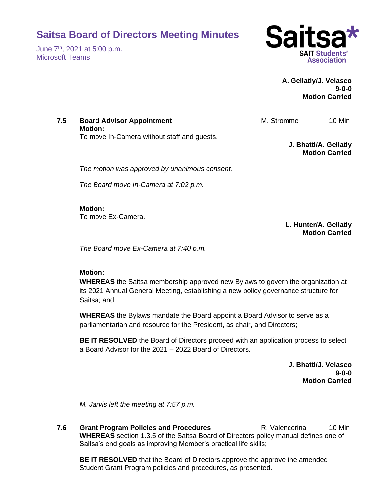June 7th, 2021 at 5:00 p.m. Microsoft Teams



### **A. Gellatly/J. Velasco 9-0-0 Motion Carried**

**7.5 Board Advisor Appointment M. Stromme** 10 Min **Motion:** To move In-Camera without staff and guests. **J. Bhatti/A. Gellatly Motion Carried**

*The motion was approved by unanimous consent.*

*The Board move In-Camera at 7:02 p.m.*

**Motion:** To move Ex-Camera.

> **L. Hunter/A. Gellatly Motion Carried**

*The Board move Ex-Camera at 7:40 p.m.*

### **Motion:**

**WHEREAS** the Saitsa membership approved new Bylaws to govern the organization at its 2021 Annual General Meeting, establishing a new policy governance structure for Saitsa; and

**WHEREAS** the Bylaws mandate the Board appoint a Board Advisor to serve as a parliamentarian and resource for the President, as chair, and Directors;

**BE IT RESOLVED** the Board of Directors proceed with an application process to select a Board Advisor for the 2021 – 2022 Board of Directors.

> **J. Bhatti/J. Velasco 9-0-0 Motion Carried**

*M. Jarvis left the meeting at 7:57 p.m.*

**7.6 Grant Program Policies and Procedures Transform R. Valencerina 10 Min WHEREAS** section 1.3.5 of the Saitsa Board of Directors policy manual defines one of Saitsa's end goals as improving Member's practical life skills;

**BE IT RESOLVED** that the Board of Directors approve the approve the amended Student Grant Program policies and procedures, as presented.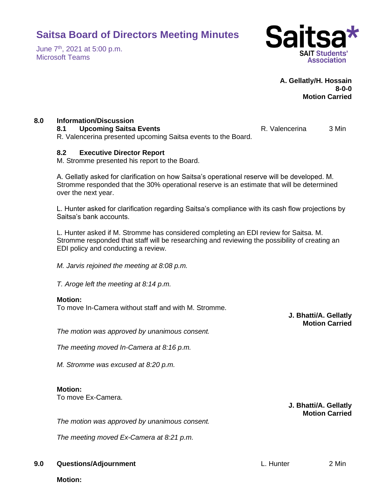June 7th, 2021 at 5:00 p.m. Microsoft Teams



**A. Gellatly/H. Hossain 8-0-0 Motion Carried**

### **8.0 Information/Discussion**

**8.1 • Upcoming Saitsa Events R. Valencerina** 3 Min R. Valencerina presented upcoming Saitsa events to the Board.

### **8.2 Executive Director Report**

M. Stromme presented his report to the Board.

A. Gellatly asked for clarification on how Saitsa's operational reserve will be developed. M. Stromme responded that the 30% operational reserve is an estimate that will be determined over the next year.

L. Hunter asked for clarification regarding Saitsa's compliance with its cash flow projections by Saitsa's bank accounts.

L. Hunter asked if M. Stromme has considered completing an EDI review for Saitsa. M. Stromme responded that staff will be researching and reviewing the possibility of creating an EDI policy and conducting a review.

*M. Jarvis rejoined the meeting at 8:08 p.m.*

*T. Aroge left the meeting at 8:14 p.m.*

### **Motion:**

To move In-Camera without staff and with M. Stromme.

*The motion was approved by unanimous consent.*

*The meeting moved In-Camera at 8:16 p.m.*

*M. Stromme was excused at 8:20 p.m.*

### **Motion:**

To move Ex-Camera.

**J. Bhatti/A. Gellatly Motion Carried**

*The motion was approved by unanimous consent.*

*The meeting moved Ex-Camera at 8:21 p.m.*

# **9.0 Questions/Adjournment** L. Hunter 2 Min

**Motion:**

**J. Bhatti/A. Gellatly Motion Carried**